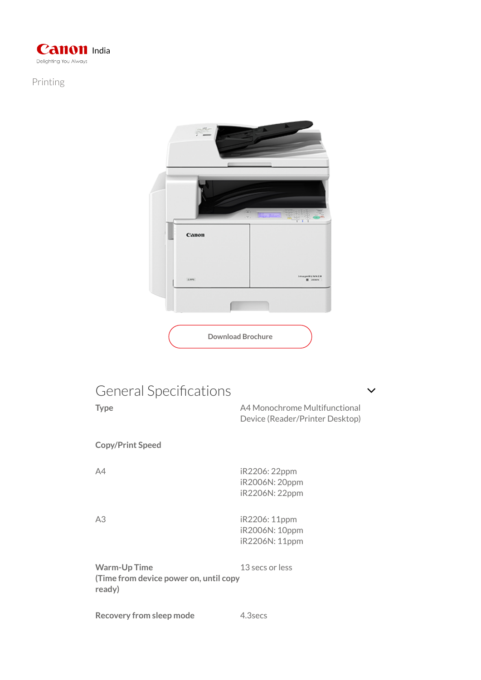

## Printing



## General Specifications

Type Type A4 Monochrome Multifunctional Device (Reader/Printer Desktop) Copy/Print Speed A4 iR2206: 22ppm iR2006N: 20ppm iR2206N: 22ppm A3 iR2206: 11ppm iR2006N: 10ppm iR2206N: 11ppm

Warm-Up Time (Time from device power on, until copy ready) 13 secs or less

Recovery from sleep mode 4.3secs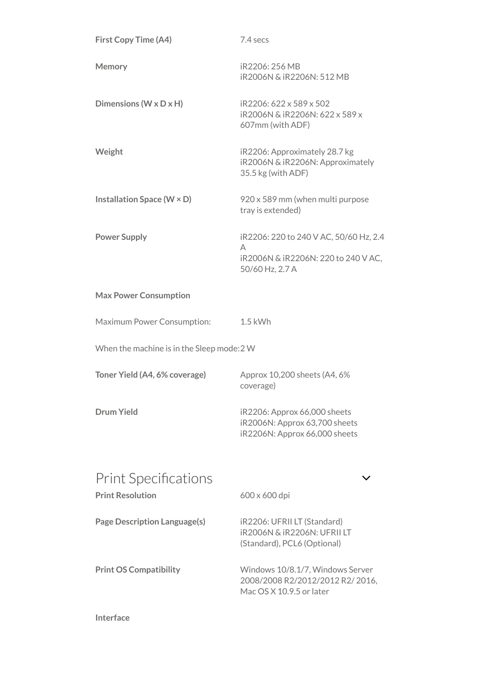| <b>First Copy Time (A4)</b>                | 7.4 secs                                                                                             |  |
|--------------------------------------------|------------------------------------------------------------------------------------------------------|--|
| <b>Memory</b>                              | iR2206: 256 MB<br>iR2006N & iR2206N: 512 MB                                                          |  |
| Dimensions ( $W \times D \times H$ )       | iR2206: 622 x 589 x 502<br>iR2006N & iR2206N: 622 x 589 x<br>607mm (with ADF)                        |  |
| Weight                                     | iR2206: Approximately 28.7 kg<br>iR2006N & iR2206N: Approximately<br>35.5 kg (with ADF)              |  |
| Installation Space ( $W \times D$ )        | 920 x 589 mm (when multi purpose<br>tray is extended)                                                |  |
| <b>Power Supply</b>                        | iR2206: 220 to 240 V AC, 50/60 Hz, 2.4                                                               |  |
|                                            | A<br>iR2006N & iR2206N: 220 to 240 V AC,<br>50/60 Hz, 2.7 A                                          |  |
| <b>Max Power Consumption</b>               |                                                                                                      |  |
| Maximum Power Consumption:                 | $1.5$ kWh                                                                                            |  |
| When the machine is in the Sleep mode: 2 W |                                                                                                      |  |
| Toner Yield (A4, 6% coverage)              | Approx 10,200 sheets (A4, 6%<br>coverage)                                                            |  |
| <b>Drum Yield</b>                          | iR2206: Approx 66,000 sheets<br>iR2006N: Approx 63,700 sheets<br>iR2206N: Approx 66,000 sheets       |  |
| <b>Print Specifications</b>                |                                                                                                      |  |
| <b>Print Resolution</b>                    | 600 x 600 dpi                                                                                        |  |
| <b>Page Description Language(s)</b>        | iR2206: UFRII LT (Standard)<br><b>IR2006N &amp; IR2206N: UFRII LT</b><br>(Standard), PCL6 (Optional) |  |
| <b>Print OS Compatibility</b>              | Windows 10/8.1/7, Windows Server<br>2008/2008 R2/2012/2012 R2/2016,<br>Mac OS X 10.9.5 or later      |  |

Interface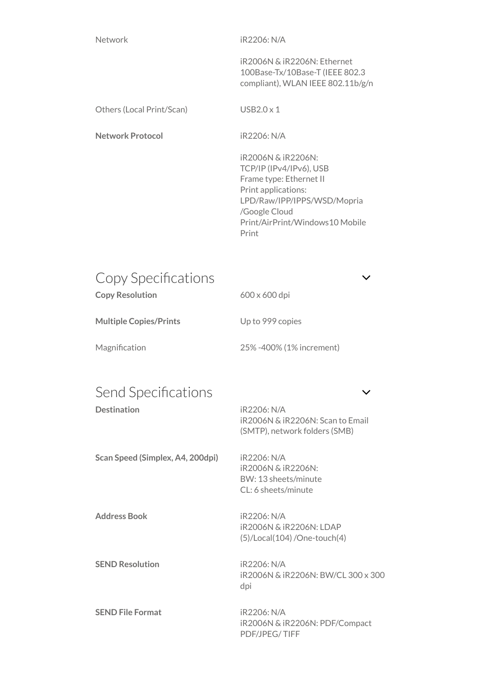Network iR2206: N/A

iR2006N & iR2206N: Ethernet 100Base-Tx/10Base-T (IEEE 802.3 compliant), WLAN IEEE 802.11b/g/n

Others (Local Print/Scan) USB2.0 x 1

Network Protocol iR2206: N/A

iR2006N & iR2206N: TCP/IP (IPv4/IPv6), USB Frame type: Ethernet II Print applications: LPD/Raw/IPP/IPPS/WSD/Mopria /Google Cloud Print/AirPrint/Windows10 Mobile Print

| Copy Specifications    |                      |  |
|------------------------|----------------------|--|
| <b>Copy Resolution</b> | $600 \times 600$ dpi |  |
|                        |                      |  |

Multiple Copies/Prints Up to 999 copies

Magnification 25% -400% (1% increment)

## Send Specifications  $\sim$

Destination iR2206: N/A iR2006N & iR2206N: Scan to Email (SMTP), network folders (SMB) Scan Speed (Simplex, A4, 200dpi) iR2206: N/A

iR2006N & iR2206N: BW: 13 sheets/minute CL: 6 sheets/minute

iR2006N & iR2206N: LDAP (5)/Local(104) /One-touch(4)

iR2006N & iR2206N: BW/CL 300 x 300 dpi

iR2006N & iR2206N: PDF/Compact PDF/JPEG/ TIFF

Address Book iR2206: N/A

SEND Resolution iR2206: N/A

SEND File Format iR2206: N/A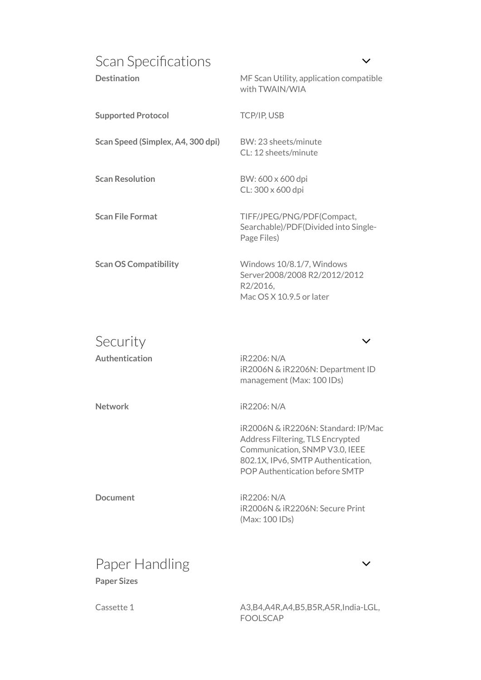| Scan Specifications<br><b>Destination</b> | MF Scan Utility, application compatible                                                                                                                                           |
|-------------------------------------------|-----------------------------------------------------------------------------------------------------------------------------------------------------------------------------------|
|                                           | with TWAIN/WIA                                                                                                                                                                    |
| <b>Supported Protocol</b>                 | TCP/IP, USB                                                                                                                                                                       |
| Scan Speed (Simplex, A4, 300 dpi)         | BW: 23 sheets/minute<br>CL: 12 sheets/minute                                                                                                                                      |
| <b>Scan Resolution</b>                    | BW: 600 x 600 dpi<br>CL: 300 x 600 dpi                                                                                                                                            |
| <b>Scan File Format</b>                   | TIFF/JPEG/PNG/PDF(Compact,<br>Searchable)/PDF(Divided into Single-<br>Page Files)                                                                                                 |
| <b>Scan OS Compatibility</b>              | Windows 10/8.1/7, Windows<br>Server2008/2008 R2/2012/2012<br>R2/2016,<br>Mac OS X 10.9.5 or later                                                                                 |
| Security                                  |                                                                                                                                                                                   |
| Authentication                            | iR2206: N/A<br>iR2006N & iR2206N: Department ID<br>management (Max: 100 IDs)                                                                                                      |
| Network                                   | iR2206: N/A                                                                                                                                                                       |
|                                           | iR2006N & iR2206N: Standard: IP/Mac<br>Address Filtering, TLS Encrypted<br>Communication, SNMP V3.0, IEEE<br>802.1X, IPv6, SMTP Authentication,<br>POP Authentication before SMTP |

Document iR2206: N/A iR2006N & iR2206N: Secure Print (Max: 100 IDs)

## Paper Sizes Paper Handling values are a valued by  $\sim$

Cassette 1 A3,B4,A4R,A4,B5,B5R,A5R,India-LGL, FOOLSCAP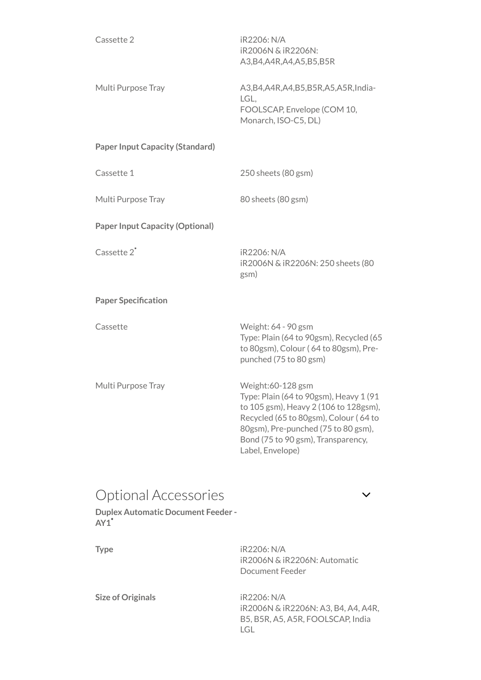| Cassette 2                                                                          | iR2206: N/A<br>iR2006N & iR2206N:<br>A3, B4, A4R, A4, A5, B5, B5R                                                                                                                                                                              |
|-------------------------------------------------------------------------------------|------------------------------------------------------------------------------------------------------------------------------------------------------------------------------------------------------------------------------------------------|
| Multi Purpose Tray                                                                  | A3, B4, A4R, A4, B5, B5R, A5, A5R, India-<br>LGL,<br>FOOLSCAP, Envelope (COM 10,<br>Monarch, ISO-C5, DL)                                                                                                                                       |
| <b>Paper Input Capacity (Standard)</b>                                              |                                                                                                                                                                                                                                                |
| Cassette 1                                                                          | 250 sheets (80 gsm)                                                                                                                                                                                                                            |
| Multi Purpose Tray                                                                  | 80 sheets (80 gsm)                                                                                                                                                                                                                             |
| <b>Paper Input Capacity (Optional)</b>                                              |                                                                                                                                                                                                                                                |
| Cassette 2 <sup>*</sup>                                                             | iR2206: N/A<br>iR2006N & iR2206N: 250 sheets (80<br>gsm)                                                                                                                                                                                       |
| <b>Paper Specification</b>                                                          |                                                                                                                                                                                                                                                |
| Cassette                                                                            | Weight: 64 - 90 gsm<br>Type: Plain (64 to 90gsm), Recycled (65<br>to 80gsm), Colour (64 to 80gsm), Pre-<br>punched (75 to 80 gsm)                                                                                                              |
| Multi Purpose Tray                                                                  | Weight:60-128 gsm<br>Type: Plain (64 to 90gsm), Heavy 1 (91<br>to 105 gsm), Heavy 2 (106 to 128gsm),<br>Recycled (65 to 80gsm), Colour (64 to<br>80gsm), Pre-punched (75 to 80 gsm),<br>Bond (75 to 90 gsm), Transparency,<br>Label, Envelope) |
| <b>Optional Accessories</b><br><b>Duplex Automatic Document Feeder -</b><br>$AY1^*$ |                                                                                                                                                                                                                                                |

Type iR2206: N/A iR2006N & iR2206N: Automatic Document Feeder

> iR2006N & iR2206N: A3, B4, A4, A4R, B5, B5R, A5, A5R, FOOLSCAP, India LGL

Size of Originals iR2206: N/A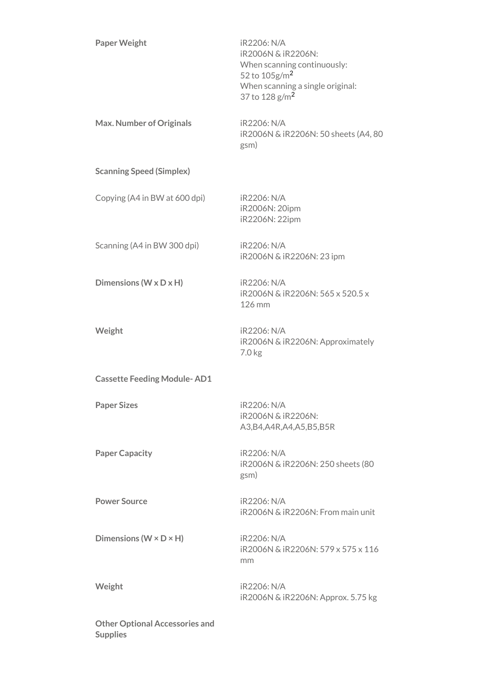| <b>Paper Weight</b>                                      | iR2206: N/A<br>iR2006N & iR2206N:<br>When scanning continuously:<br>52 to 105g/m <sup>2</sup><br>When scanning a single original:<br>37 to $128 g/m2$ |
|----------------------------------------------------------|-------------------------------------------------------------------------------------------------------------------------------------------------------|
| <b>Max. Number of Originals</b>                          | iR2206: N/A<br>iR2006N & iR2206N: 50 sheets (A4, 80<br>gsm)                                                                                           |
| <b>Scanning Speed (Simplex)</b>                          |                                                                                                                                                       |
| Copying (A4 in BW at 600 dpi)                            | <b>iR2206: N/A</b><br>iR2006N: 20ipm<br>iR2206N: 22ipm                                                                                                |
| Scanning (A4 in BW 300 dpi)                              | iR2206: N/A<br>iR2006N & iR2206N: 23 ipm                                                                                                              |
| Dimensions (W x D x H)                                   | <b>iR2206: N/A</b><br>iR2006N & iR2206N: 565 x 520.5 x<br>126 mm                                                                                      |
| Weight                                                   | iR2206: N/A<br>iR2006N & iR2206N: Approximately<br>7.0 kg                                                                                             |
| <b>Cassette Feeding Module-AD1</b>                       |                                                                                                                                                       |
| <b>Paper Sizes</b>                                       | iR2206: N/A<br>iR2006N & iR2206N:<br>A3, B4, A4R, A4, A5, B5, B5R                                                                                     |
| <b>Paper Capacity</b>                                    | iR2206: N/A<br>iR2006N & iR2206N: 250 sheets (80<br>gsm)                                                                                              |
| <b>Power Source</b>                                      | iR2206: N/A<br>iR2006N & iR2206N: From main unit                                                                                                      |
| Dimensions ( $W \times D \times H$ )                     | iR2206: N/A<br>iR2006N & iR2206N: 579 x 575 x 116<br>mm                                                                                               |
| Weight                                                   | iR2206: N/A<br>iR2006N & iR2206N: Approx. 5.75 kg                                                                                                     |
| <b>Other Optional Accessories and</b><br><b>Supplies</b> |                                                                                                                                                       |